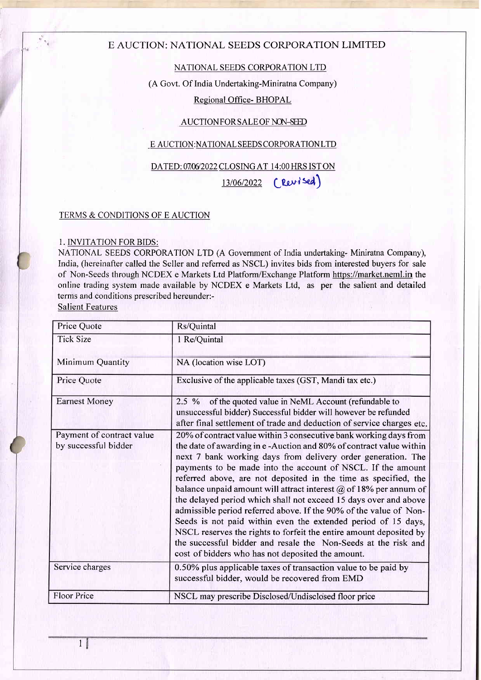# E AUCTION: NATIONAL SEEDS CORPORATION LIMITED

# NATIONAL SEEDS CORPORATION LTD

(A Govt. Of India Undertaking-Miniratna Company)

### Regional Office- BHOPAL

### AUCTION FOR SALE OF NON-SEED

#### E AUCTION:NATIONAL SEEDS CORPORATIONLTD

### DATED: 07/06/2022 CLOSING AT 14:00 HRS IST ON

13/06/2022 (Revised)

#### TERMS & CONDITIONS OF E AUCTION

### I. INVITATION FOR BIDS:

NATIONAL SEEDS CORPORATION LTD (A Government of India undertaking- Miniratna Company), India, (hereinafter called the Seller and referred as NSCL) invites bids from interested buyers for sale of Non-Seeds through NCDEX e Markets Ltd Platform/Exchange Platform https://market.neml.in the online trading system made available by NCDEX e Markets Ltd, as per the salient and detailed terms and conditions prescribed hereunder:-

Salient Features

| Price Quote                                       | Rs/Quintal                                                                                                                                                                                                                                                                                                                                                                                                                                                                                                                                                                                                                                                                                                                                                                                                                   |
|---------------------------------------------------|------------------------------------------------------------------------------------------------------------------------------------------------------------------------------------------------------------------------------------------------------------------------------------------------------------------------------------------------------------------------------------------------------------------------------------------------------------------------------------------------------------------------------------------------------------------------------------------------------------------------------------------------------------------------------------------------------------------------------------------------------------------------------------------------------------------------------|
| <b>Tick Size</b>                                  | 1 Re/Quintal                                                                                                                                                                                                                                                                                                                                                                                                                                                                                                                                                                                                                                                                                                                                                                                                                 |
| <b>Minimum Quantity</b>                           | NA (location wise LOT)                                                                                                                                                                                                                                                                                                                                                                                                                                                                                                                                                                                                                                                                                                                                                                                                       |
| Price Quote                                       | Exclusive of the applicable taxes (GST, Mandi tax etc.)                                                                                                                                                                                                                                                                                                                                                                                                                                                                                                                                                                                                                                                                                                                                                                      |
| <b>Earnest Money</b>                              | of the quoted value in NeML Account (refundable to<br>$2.5 \%$<br>unsuccessful bidder) Successful bidder will however be refunded<br>after final settlement of trade and deduction of service charges etc.                                                                                                                                                                                                                                                                                                                                                                                                                                                                                                                                                                                                                   |
| Payment of contract value<br>by successful bidder | 20% of contract value within 3 consecutive bank working days from<br>the date of awarding in e-Auction and 80% of contract value within<br>next 7 bank working days from delivery order generation. The<br>payments to be made into the account of NSCL. If the amount<br>referred above, are not deposited in the time as specified, the<br>balance unpaid amount will attract interest $\omega$ of 18% per annum of<br>the delayed period which shall not exceed 15 days over and above<br>admissible period referred above. If the 90% of the value of Non-<br>Seeds is not paid within even the extended period of 15 days,<br>NSCL reserves the rights to forfeit the entire amount deposited by<br>the successful bidder and resale the Non-Seeds at the risk and<br>cost of bidders who has not deposited the amount. |
| Service charges                                   | 0.50% plus applicable taxes of transaction value to be paid by<br>successful bidder, would be recovered from EMD                                                                                                                                                                                                                                                                                                                                                                                                                                                                                                                                                                                                                                                                                                             |
| <b>Floor Price</b>                                | NSCL may prescribe Disclosed/Undisclosed floor price                                                                                                                                                                                                                                                                                                                                                                                                                                                                                                                                                                                                                                                                                                                                                                         |

1ff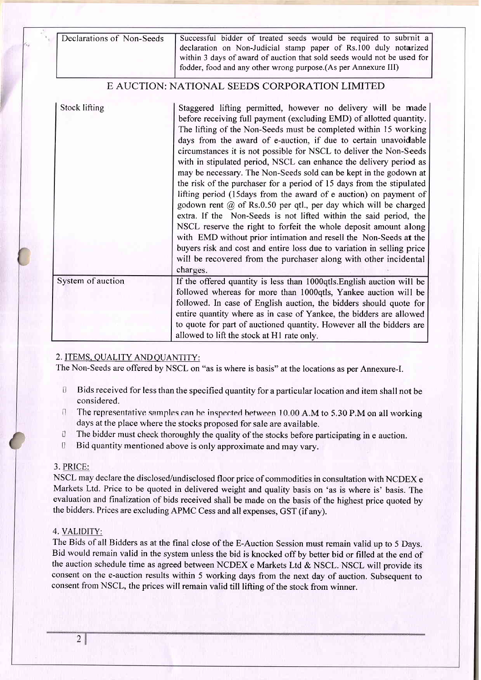| Declarations of Non-Seeds | Successful bidder of treated seeds would be required to submit a<br>declaration on Non-Judicial stamp paper of Rs.100 duly notarized<br>within 3 days of award of auction that sold seeds would not be used for<br>fodder, food and any other wrong purpose.(As per Annexure III)                                                                                                                                                                                                                                                                                                                                                                                                                                                                                                                                                                                                                                                                                                                                                                                                        |
|---------------------------|------------------------------------------------------------------------------------------------------------------------------------------------------------------------------------------------------------------------------------------------------------------------------------------------------------------------------------------------------------------------------------------------------------------------------------------------------------------------------------------------------------------------------------------------------------------------------------------------------------------------------------------------------------------------------------------------------------------------------------------------------------------------------------------------------------------------------------------------------------------------------------------------------------------------------------------------------------------------------------------------------------------------------------------------------------------------------------------|
|                           | E AUCTION: NATIONAL SEEDS CORPORATION LIMITED                                                                                                                                                                                                                                                                                                                                                                                                                                                                                                                                                                                                                                                                                                                                                                                                                                                                                                                                                                                                                                            |
| Stock lifting             | Staggered lifting permitted, however no delivery will be made<br>before receiving full payment (excluding EMD) of allotted quantity.<br>The lifting of the Non-Seeds must be completed within 15 working<br>days from the award of e-auction, if due to certain unavoidable<br>circumstances it is not possible for NSCL to deliver the Non-Seeds<br>with in stipulated period, NSCL can enhance the delivery period as<br>may be necessary. The Non-Seeds sold can be kept in the godown at<br>the risk of the purchaser for a period of 15 days from the stipulated<br>lifting period (15days from the award of e auction) on payment of<br>godown rent $@$ of Rs.0.50 per qtl., per day which will be charged<br>extra. If the Non-Seeds is not lifted within the said period, the<br>NSCL reserve the right to forfeit the whole deposit amount along<br>with EMD without prior intimation and resell the Non-Seeds at the<br>buyers risk and cost and entire loss due to variation in selling price<br>will be recovered from the purchaser along with other incidental<br>charges. |
| System of auction         | If the offered quantity is less than 1000qtls. English auction will be<br>followed whereas for more than 1000qtls, Yankee auction will be<br>followed. In case of English auction, the bidders should quote for<br>entire quantity where as in case of Yankee, the bidders are allowed<br>to quote for part of auctioned quantity. However all the bidders are<br>allowed to lift the stock at H1 rate only.                                                                                                                                                                                                                                                                                                                                                                                                                                                                                                                                                                                                                                                                             |

### 2. ITEMS. QUALITY AND QUANTITY:

The Non-Seeds are offered by NSCL on "as is where is basis" at the locations as per Annexure-I.

- ! Bids received for less than the specified quantity for a particular location and item shall not be considered.
- $\Gamma$  The representative samples can be inspected hetween 10.00 A.M to 5.30 P.M on all working days at the place where the stocks proposed for sale are available.
- U The bidder must check thoroughly the quality of the stocks before participating in e auction.
- ! Bid quantity mentioned above is only approximate and may vary.

#### 3. PRICE:

NSCL may declare the disclosed/undisclosed floor price of commodities in consultation with NCDEX <sup>e</sup> Markets Ltd. Price to be quoted in delivered weight and quality basis on 'as is where is' basis. The evaluation and finalization of bids received shall be made on the basis of the highest price quoted by the bidders. Prices are excluding APMC Cess and all expenses, GST (if any).

#### 4. VALIDITY:

The Bids of all Bidders as at the final close of the E-Auction Session must remain valid up to 5 Days. Bid would remain valid in the system unless the bid is knocked off by better bid or filled at the end of the auction schedule time as agreed between NCDEX e Markets Ltd & NSCL. NSCL will provide its consent on the e-auction results within 5 working days from the next day of auction. Subsequent to consent from NSCL, the prices will remain valid till lifting of the stock from winner.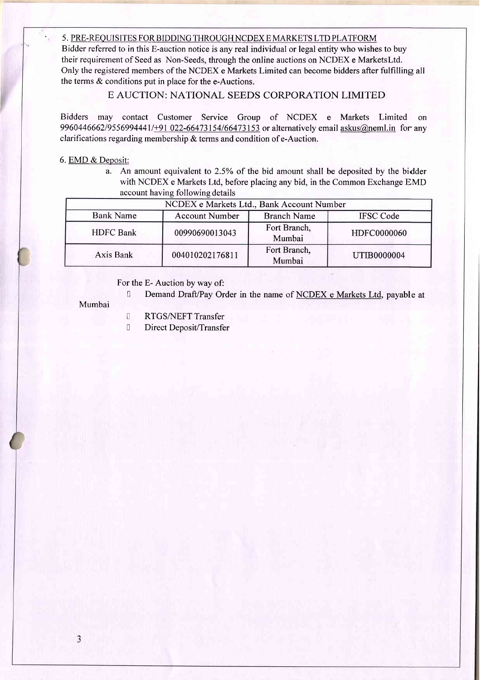#### 5. PRE-REQUISITES FOR BIDDING THROUGH NCDEX E MARKETS LTD PLATFORM

Bidder referred to in this E-auction notice is any real individual or legal entity who wishes to buy their requirement of Seed as Non-Seeds, through the online auctions on NCDEX e MarketsLtd. Only the registered members of the NCDEX e Markets Limited can become bidders after fulfilling all the terms & conditions put in place for the e-Auctions.

# E AUCTION: NATIONAL SEEDS CORPORATION LIMITED

Bidders may contact Customer Service Group of NCDEX e Markets Limited on 9960446662/9556994441/+91 022-66473154/66473153 or alternatively email askus@neml.in for any clarifications regarding membership & terms and condition of e-Auction.

### 6. EMD & Deposit:

a. An amount equivalent to 2.5% of the bid amount shall be deposited by the bidder with NCDEX e Markets Ltd, before placing any bid, in the Common Exchange EMD account having following details

| NCDEX e Markets Ltd., Bank Account Number |                                             |                        |             |  |  |
|-------------------------------------------|---------------------------------------------|------------------------|-------------|--|--|
| <b>Bank Name</b>                          | <b>Account Number</b><br><b>Branch Name</b> |                        |             |  |  |
| <b>HDFC</b> Bank                          | 00990690013043                              | Fort Branch,<br>Mumbai | HDFC0000060 |  |  |
| Axis Bank                                 | 004010202176811                             | Fort Branch,<br>Mumbai | UTIB0000004 |  |  |

### For the E- Auction by way of:

Demand Draft/Pay Order in the name of NCDEX e Markets Ltd, payable at

Mumbai

- I RTGS/NEFT Transfer
- **U** Direct Deposit/Transfer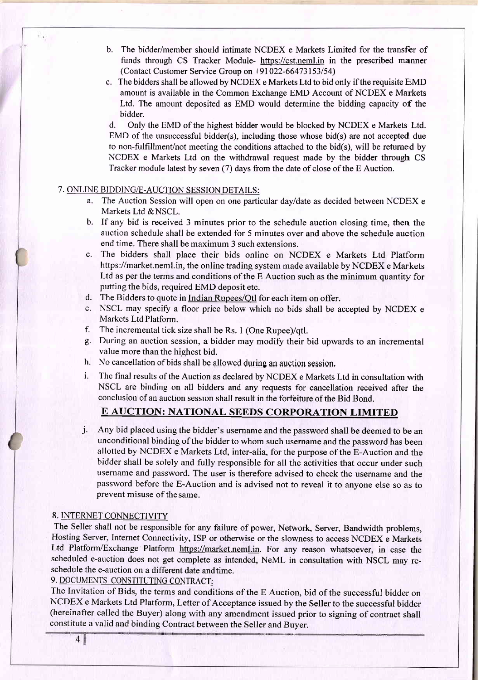- b. The bidder/member should intimate NCDEX e Markets Limited for the transfer of funds through CS Tracker Module- https://cst.neml,in in the prescribed manner (Contact Customer Service Group on +91022-66473153154)
- c. The bidders shall be allowed by NCDEX e Markets Ltd to bid only if the requisite EMD amount is available in the Common Exchange EMD Account of NCDEX e Markets Ltd. The amount deposited as EMD would determine the bidding capacity of the bidder.

d. Only the EMD of the highest bidder would be blocked by NCDEX e Markets Ltd. EMD of the unsuccessful bidder(s), including those whose bid(s) are not accepted due to non-fulfillment/not meeting the conditions attached to the bid(s), will be retumed by NCDEX e Markets Ltd on the withdrawal request made by the bidder through CS Tracker module latest by seven (7) days from the date of close of the E Auction.

### 7. ONLINE BIDDING/E.AUCTION SESSIONDETAILS:

- a. The Auction Session will open on one particular dayldate as decided between NCDEX <sup>e</sup> Markets Ltd & NSCL.
- b. If any bid is received 3 minutes prior to the schedule auction closing time, then the auction schedule shall be extended for 5 minutes over and above the schedule auction end time. There shall be maximum 3 such extensions.
- c. The bidders shall place their bids online on NCDEX e Markets Ltd Platform https://market.neml.in, the online trading system made available by NCDEX e Markets Ltd as per the terms and conditions of the E Auction such as the minimum quantity for putting the bids, required EMD deposit etc.
- d. The Bidders to quote in Indian Rupees/Otl for each item on offer.
- e. NSCL may specify a floor price below which no bids shall be accepted by NCDEX <sup>e</sup> Markets Ltd Platform.
- f. The incremental tick size shall be Rs. 1 (One Rupee)/qtl.
- g. During an auction session, a bidder may modify their bid upwards to an incremental value more than the highest bid.
- h. No cancellation of bids shall be allowed during an auction session.
- i. The final results of the Auction as declared by NCDEX e Markets Ltd in consultation with NSCL are hinding on all bidders and any requests for cancellation received after the conclusion of an auction session shall result in the forfeiture of the Bid Bond.

# E AUCTION: NATIONAL SEEDS CORPORATION LIMITED

j. Any bid placed using the bidder's username and the password shall be deemed to be an unconditional binding of the bidder to whom such username and the password has been allotted by NCDEX e Markets Ltd, inter-alia, for the purpose of the E-Auction and the bidder shall be solely and fully responsible for all the activities that occur under such username and password. The user is therefore advised to check the username and the password before the E-Auction and is advised not to reveal it to anvone else so as to prevent misuse of thesame.

# 8. INTERNET CONNECTIVITY

The Seller shall not be responsible for any failure of power, Network, Server, Bandwidth problems, Hosting Server, Internet Connectivity, ISP or otherwise or the slowness to access NCDEX e Markets Ltd Platform/Exchange Platform https://market.neml.in. For any reason whatsoever, in case the scheduled e-auction does not get complete as intended, NeML in consultation with NSCL may reschedule the e-auction on a different date andtime.

9. DOCUMENTS CONSTITUTING CONTRACT:

The Invitation of Bids, the terms and conditions of the E Auction, bid of the successful bidder on NCDEX e Markets Ltd Platform, Letter of Acceptance issued by the Seller to the successful bidder (hereinafter called the Buyer) along with any amendment issued prior to signing of contract shall constitute a valid and binding contract between the Seller and Buyer.

 $4<sup>1</sup>$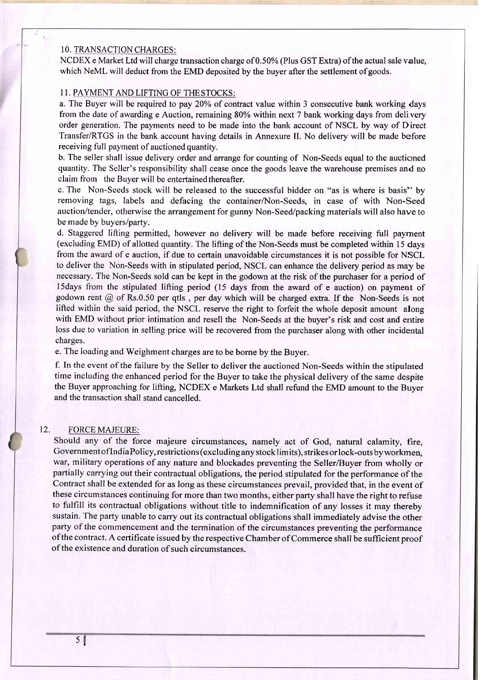#### 10. TRANSACTION CHARGES:

NCDEX e Market Ltd will charge transaction charge of 0.50% (Plus GST Extra) ofthe actual sale value, which NeML will deduct from the EMD deposited by the buyer after the settlement of goods.

## 11. PAYMENT AND LIFTING OF THE STOCKS:

a. The Buyer will be required to pay 20% of contract value within 3 consecutive bank working days from the date of awarding e Auction, remaining 80% within next 7 bank working days from delivery order generation. The payments need to be made into the bank account of NSCL by way of Direct Transfer/RTGS in the bank account having details in Annexure II. No delivery will be made before receiving full payment of auctioned quantity.

b. The seller shall issue delivery order and arrange for counting of Non-Seeds equal to the auctioned quantity. The Seller's responsibility shall cease once the goods leave the warehouse premises and no claim from the Buyer will be entertained thereafter.

c. The Non-Seeds stock will be released to the successful bidder on "as is where is basis" by removing tags, labels and defacing the container/Non-Seeds, in case of with Non-Seed auction/tender, otherwise the arrangement for gunny Non-Seed/packing materials will also have to be made by buyers/party.

d. Staggered lifting permitted, however no delivery will be made before receiving full payrnent (excluding EMD) of allotted quantity. The lifting of the Non-Seeds must be completed within 15 days from the award of e auction, if due to certain unavoidable circumstances it is not possible for NSCL to deliver the Non-Seeds with in stipulated period, NSCL can enhance the delivery period as may be necessary. The Non-Seeds sold can be kept in the godown at the risk of the purchaser for a period of l5days from the stipulated lifting period (15 days from the award of e auction) on payment of godown rent @ of Rs.0.50 per qtls , per day which will be charged extra. If the Non-Seeds is not lifted within the said period, the NSCL reserye the right to forfeit the whole deposit amount along with EMD without prior intimation and resell the Non-Seeds at the buyer's risk and cost and entire loss due to variation in selling price will be recovered from the purchaser along with other incidental charges.

e. The loading and Weighment charges are to be borne by the Buyer.

f. In the event of the failure by the Seller to deliver the auctioned Non-Seeds within the stipulated time including the enhanced period for the Buyer to take the physical delivery of the same despite the Buyer approaching for lifting, NCDEX e Markets Ltd shall refund the EMD amount to the Buyer and the transaction shall stand cancelled.

#### 12. FORCE MAJEURE:

Should any of the force majeure circumstances, namely act of God, natural calamity, fire, GovernmentoflndiaPolicy, restrictions(excludinganystocklimits), strikesorlock-outsbyworkmen, war, military operations of any nature and blockades preventing the Seller/Buyer from wholly or partially carrying out their contractual obligations, the period stipulated for the performance of the Contract shall be extended for as long as these circumstances prevail, provided that, in the event of these circumstances continuing for more than two months, either party shall have the right to refuse to fulfill its contractual obligations without title to indemnification of any losses it may thereby sustain. The party unable to carry out its contractual obligations shall immediately advise the other party of the commencement and the termination of the circumstances preventing the performance ofthe contract. A certificate issued by the respective Chamber of Commerce shall be sufficient proof of the existence and duration of such circumstances.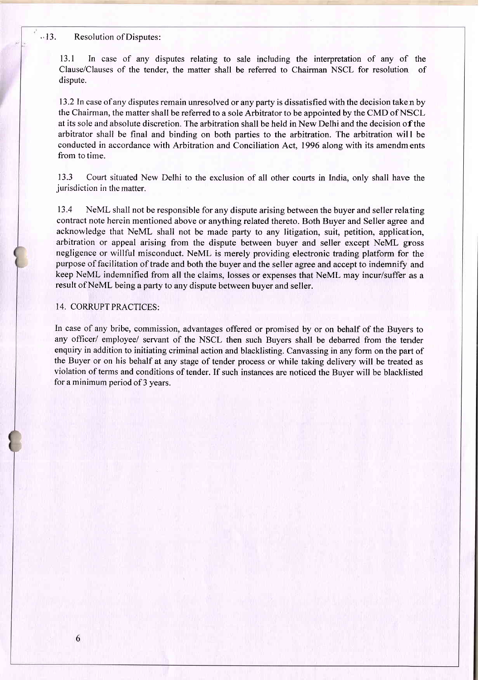#### .' 13. Resolution of Disputes:

l3.l In case of any disputes relating to sale including the interpretation of any of the Clause/Clauses of the tender, the matter shall be referred to Chairman NSCL for resolution of dispute.

13.2In case of any disputes remain unresolved or any party is dissatisfied with the decision taken by the Chairman, the matter shall be referred to a sole Arbitrator to be appointed by the CMD of NSCL at its sole and absolute discretion. The arbitration shall be held in New Delhi and the decision of the arbitrator shall be final and binding on both parties to the arbitration. The arbitration will be conducted in accordance with Arbitration and Conciliation Act, 1996 along with its amendments from to time.

13.3 Court situated New Delhi to the exclusion of all other courts in India. onlv shall have the jurisdiction in the matter.

13.4 NeML shall not be responsible for any dispute arising between the buyer and seller relating contract note herein mentioned above or anything related thereto. Both Buyer and Seller agree and acknowledge that NeML shall not be made party to any litigation, suit, petition, application, arbitration or appeal arising from the dispute between buyer and seller except NeML gross negligence or willful misconduct. NeML is merely providing electronic trading platform for the purpose of facilitation of trade and both the buyer and the seller agree and accept to indemnify and keep NeML indemnified from all the claims, losses or expenses that NeML may incur/suffer as a result of NeML being a party to any dispute between buyer and seller.

#### 14. CORRUPT PRACTICES:

In case of any bribe, commission, advantages offered or promised by or on behalf of the Buyers to any officer/ employee/ servant of the NSCL then such Buyers shall be debarred from the tender enquiry in addition to initiating criminal action and blacklisting. Canvassing in any form on the part of the Buyer or on his behalf at any stage of tender process or while taking delivery will be treated as violation of terms and conditions of tender. If such instances are noticed the Buyer will be blacklisted for a minimum period of 3 years.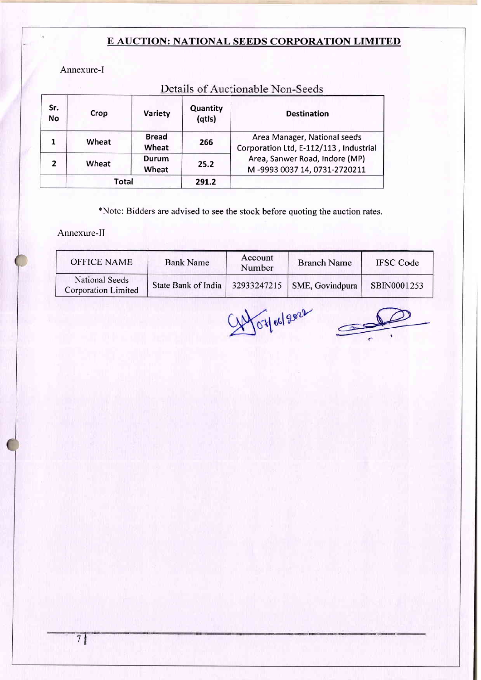# E AUCTION: NATIONAL SEEDS CORPORATION LIMITED

Annexure-I

| Sr.<br><b>No</b> | Crop  | Variety               | Quantity<br>(qtls) | <b>Destination</b>                                                     |
|------------------|-------|-----------------------|--------------------|------------------------------------------------------------------------|
|                  | Wheat | <b>Bread</b><br>Wheat | 266                | Area Manager, National seeds<br>Corporation Ltd, E-112/113, Industrial |
| $\overline{2}$   | Wheat | Durum<br>Wheat        | 25.2               | Area, Sanwer Road, Indore (MP)<br>M-9993 0037 14, 0731-2720211         |
|                  | Total |                       | 291.2              |                                                                        |

Details of Auctionable Non-Seeds

\*Note: Bidders are advised to see the stock before quoting the auction rates.

Annexure-II

| OFFICE NAME                                  | <b>Bank Name</b>                                    | Account<br>Number | <b>Branch Name</b> | <b>IFSC</b> Code |
|----------------------------------------------|-----------------------------------------------------|-------------------|--------------------|------------------|
| National Seeds<br><b>Corporation Limited</b> | State Bank of India   32933247215   SME, Govindpura |                   |                    | SBIN0001253      |

SA OTOGland